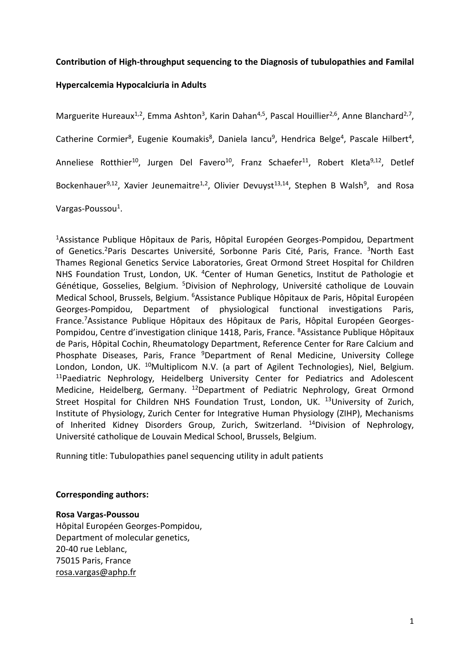## **Contribution of High-throughput sequencing to the Diagnosis of tubulopathies and Familal**

# **Hypercalcemia Hypocalciuria in Adults**

Marguerite Hureaux<sup>1,2</sup>, Emma Ashton<sup>3</sup>, Karin Dahan<sup>4,5</sup>, Pascal Houillier<sup>2,6</sup>, Anne Blanchard<sup>2,7</sup>, Catherine Cormier<sup>8</sup>, Eugenie Koumakis<sup>8</sup>, Daniela Iancu<sup>9</sup>, Hendrica Belge<sup>4</sup>, Pascale Hilbert<sup>4</sup>, Anneliese Rotthier<sup>10</sup>, Jurgen Del Favero<sup>10</sup>, Franz Schaefer<sup>11</sup>, Robert Kleta<sup>9,12</sup>, Detlef Bockenhauer<sup>9,12</sup>, Xavier Jeunemaitre<sup>1,2</sup>, Olivier Devuyst<sup>13,14</sup>, Stephen B Walsh<sup>9</sup>, and Rosa Vargas-Poussou<sup>1</sup>.

<sup>1</sup>Assistance Publique Hôpitaux de Paris, Hôpital Européen Georges-Pompidou, Department of Genetics.<sup>2</sup>Paris Descartes Université, Sorbonne Paris Cité, Paris, France. <sup>3</sup>North East Thames Regional Genetics Service Laboratories, Great Ormond Street Hospital for Children NHS Foundation Trust, London, UK. <sup>4</sup>Center of Human Genetics, Institut de Pathologie et Génétique, Gosselies, Belgium. <sup>5</sup>Division of Nephrology, Université catholique de Louvain Medical School, Brussels, Belgium. <sup>6</sup>Assistance Publique Hôpitaux de Paris, Hôpital Européen Georges-Pompidou, Department of physiological functional investigations Paris, France.7Assistance Publique Hôpitaux des Hôpitaux de Paris, Hôpital Européen Georges-Pompidou, Centre d'investigation clinique 1418, Paris, France. <sup>8</sup>Assistance Publique Hôpitaux de Paris, Hôpital Cochin, Rheumatology Department, Reference Center for Rare Calcium and Phosphate Diseases, Paris, France <sup>9</sup>Department of Renal Medicine, University College London, London, UK. <sup>10</sup>Multiplicom N.V. (a part of Agilent Technologies), Niel, Belgium.  $11P$ aediatric Nephrology, Heidelberg University Center for Pediatrics and Adolescent Medicine, Heidelberg, Germany. <sup>12</sup>Department of Pediatric Nephrology, Great Ormond Street Hospital for Children NHS Foundation Trust, London, UK. <sup>13</sup>University of Zurich, Institute of Physiology, Zurich Center for Integrative Human Physiology (ZIHP), Mechanisms of Inherited Kidney Disorders Group, Zurich, Switzerland. <sup>14</sup>Division of Nephrology, Université catholique de Louvain Medical School, Brussels, Belgium.

Running title: Tubulopathies panel sequencing utility in adult patients

## **Corresponding authors:**

## **Rosa Vargas-Poussou**

Hôpital Européen Georges-Pompidou, Department of molecular genetics, 20-40 rue Leblanc, 75015 Paris, France [rosa.vargas@aphp.fr](mailto:rosa.vargas@aphp.fr)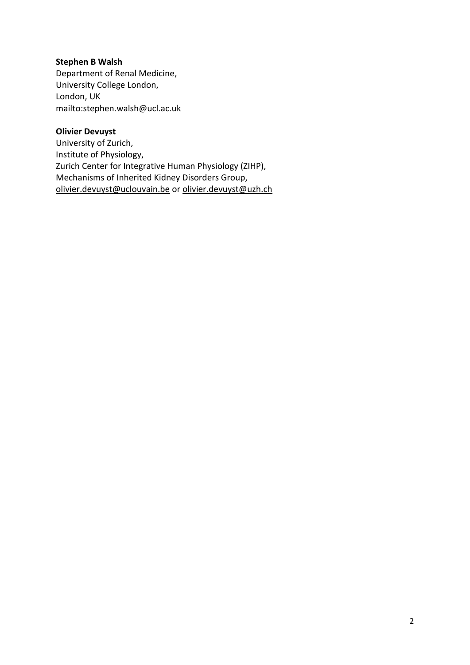# **Stephen B Walsh**

Department of Renal Medicine, University College London, London, UK mailto:stephen.walsh@ucl.ac.uk

## **Olivier Devuyst**

University of Zurich, Institute of Physiology, Zurich Center for Integrative Human Physiology (ZIHP), Mechanisms of Inherited Kidney Disorders Group, [olivier.devuyst@uclouvain.be](mailto:olivier.devuyst@uclouvain.be) or [olivier.devuyst@uzh.ch](mailto:olivier.devuyst@uzh.ch)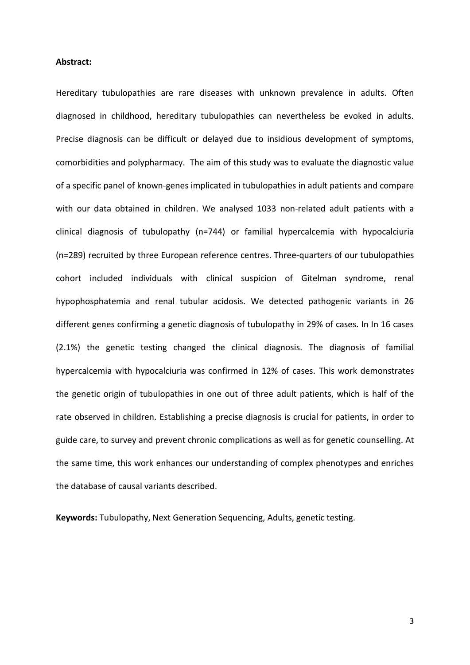#### **Abstract:**

Hereditary tubulopathies are rare diseases with unknown prevalence in adults. Often diagnosed in childhood, hereditary tubulopathies can nevertheless be evoked in adults. Precise diagnosis can be difficult or delayed due to insidious development of symptoms, comorbidities and polypharmacy. The aim of this study was to evaluate the diagnostic value of a specific panel of known-genes implicated in tubulopathies in adult patients and compare with our data obtained in children. We analysed 1033 non-related adult patients with a clinical diagnosis of tubulopathy (n=744) or familial hypercalcemia with hypocalciuria (n=289) recruited by three European reference centres. Three-quarters of our tubulopathies cohort included individuals with clinical suspicion of Gitelman syndrome, renal hypophosphatemia and renal tubular acidosis. We detected pathogenic variants in 26 different genes confirming a genetic diagnosis of tubulopathy in 29% of cases. In In 16 cases (2.1%) the genetic testing changed the clinical diagnosis. The diagnosis of familial hypercalcemia with hypocalciuria was confirmed in 12% of cases. This work demonstrates the genetic origin of tubulopathies in one out of three adult patients, which is half of the rate observed in children. Establishing a precise diagnosis is crucial for patients, in order to guide care, to survey and prevent chronic complications as well as for genetic counselling. At the same time, this work enhances our understanding of complex phenotypes and enriches the database of causal variants described.

**Keywords:** Tubulopathy, Next Generation Sequencing, Adults, genetic testing.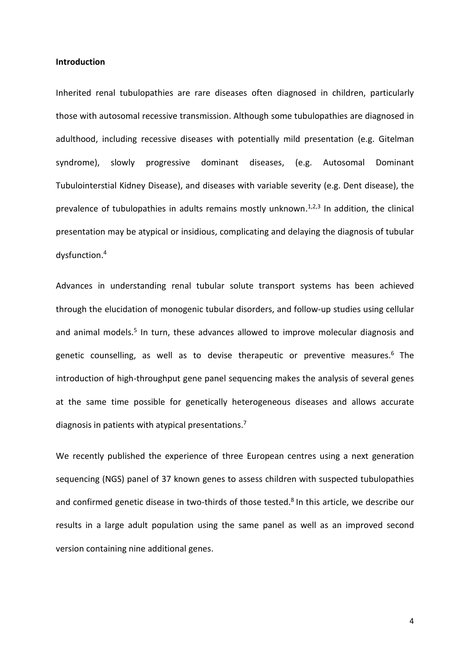#### **Introduction**

Inherited renal tubulopathies are rare diseases often diagnosed in children, particularly those with autosomal recessive transmission. Although some tubulopathies are diagnosed in adulthood, including recessive diseases with potentially mild presentation (e.g. Gitelman syndrome), slowly progressive dominant diseases, (e.g. Autosomal Dominant Tubulointerstial Kidney Disease), and diseases with variable severity (e.g. Dent disease), the prevalence of tubulopathies in adults remains mostly unknown.<sup>1,2,3</sup> In addition, the clinical presentation may be atypical or insidious, complicating and delaying the diagnosis of tubular dysfunction. 4

Advances in understanding renal tubular solute transport systems has been achieved through the elucidation of monogenic tubular disorders, and follow-up studies using cellular and animal models.<sup>5</sup> In turn, these advances allowed to improve molecular diagnosis and genetic counselling, as well as to devise therapeutic or preventive measures. $6$  The introduction of high-throughput gene panel sequencing makes the analysis of several genes at the same time possible for genetically heterogeneous diseases and allows accurate diagnosis in patients with atypical presentations.<sup>7</sup>

We recently published the experience of three European centres using a next generation sequencing (NGS) panel of 37 known genes to assess children with suspected tubulopathies and confirmed genetic disease in two-thirds of those tested. 8 In this article, we describe our results in a large adult population using the same panel as well as an improved second version containing nine additional genes.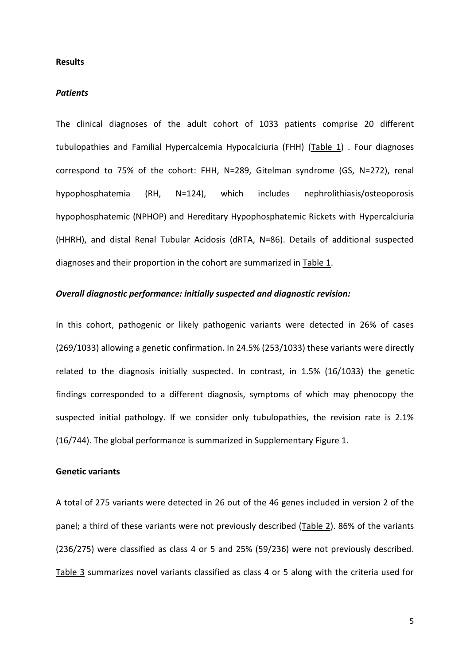#### **Results**

### *Patients*

The clinical diagnoses of the adult cohort of 1033 patients comprise 20 different tubulopathies and Familial Hypercalcemia Hypocalciuria (FHH) (Table 1) . Four diagnoses correspond to 75% of the cohort: FHH, N=289, Gitelman syndrome (GS, N=272), renal hypophosphatemia (RH, N=124), which includes nephrolithiasis/osteoporosis hypophosphatemic (NPHOP) and Hereditary Hypophosphatemic Rickets with Hypercalciuria (HHRH), and distal Renal Tubular Acidosis (dRTA, N=86). Details of additional suspected diagnoses and their proportion in the cohort are summarized in Table 1.

### *Overall diagnostic performance: initially suspected and diagnostic revision:*

In this cohort, pathogenic or likely pathogenic variants were detected in 26% of cases (269/1033) allowing a genetic confirmation. In 24.5% (253/1033) these variants were directly related to the diagnosis initially suspected. In contrast, in 1.5% (16/1033) the genetic findings corresponded to a different diagnosis, symptoms of which may phenocopy the suspected initial pathology. If we consider only tubulopathies, the revision rate is 2.1% (16/744). The global performance is summarized in Supplementary Figure 1.

### **Genetic variants**

A total of 275 variants were detected in 26 out of the 46 genes included in version 2 of the panel; a third of these variants were not previously described (Table 2). 86% of the variants (236/275) were classified as class 4 or 5 and 25% (59/236) were not previously described. Table 3 summarizes novel variants classified as class 4 or 5 along with the criteria used for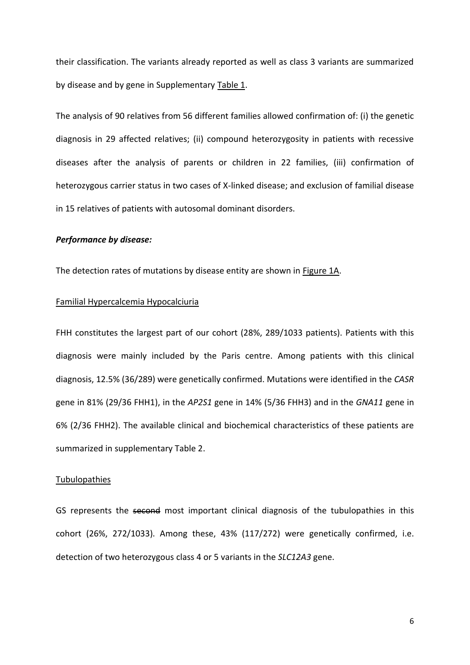their classification. The variants already reported as well as class 3 variants are summarized by disease and by gene in Supplementary Table 1.

The analysis of 90 relatives from 56 different families allowed confirmation of: (i) the genetic diagnosis in 29 affected relatives; (ii) compound heterozygosity in patients with recessive diseases after the analysis of parents or children in 22 families, (iii) confirmation of heterozygous carrier status in two cases of X-linked disease; and exclusion of familial disease in 15 relatives of patients with autosomal dominant disorders.

### *Performance by disease:*

The detection rates of mutations by disease entity are shown in Figure 1A.

### Familial Hypercalcemia Hypocalciuria

FHH constitutes the largest part of our cohort (28%, 289/1033 patients). Patients with this diagnosis were mainly included by the Paris centre. Among patients with this clinical diagnosis, 12.5% (36/289) were genetically confirmed. Mutations were identified in the *CASR* gene in 81% (29/36 FHH1), in the *AP2S1* gene in 14% (5/36 FHH3) and in the *GNA11* gene in 6% (2/36 FHH2). The available clinical and biochemical characteristics of these patients are summarized in supplementary Table 2.

### Tubulopathies

GS represents the second most important clinical diagnosis of the tubulopathies in this cohort (26%, 272/1033). Among these, 43% (117/272) were genetically confirmed, i.e. detection of two heterozygous class 4 or 5 variants in the *SLC12A3* gene.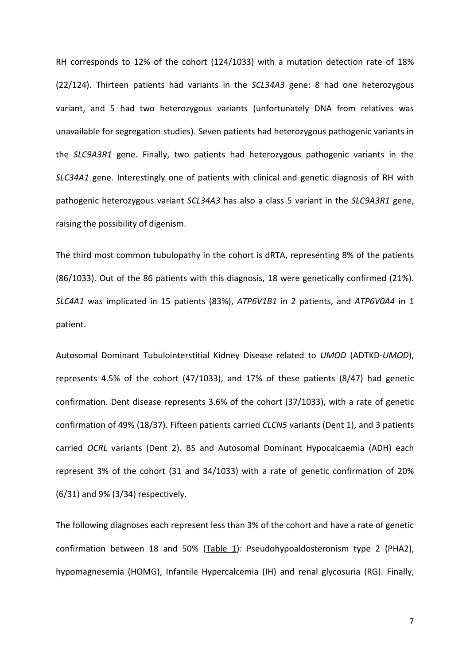RH corresponds to 12% of the cohort (124/1033) with a mutation detection rate of 18% (22/124). Thirteen patients had variants in the *SCL34A3* gene: 8 had one heterozygous variant, and 5 had two heterozygous variants (unfortunately DNA from relatives was unavailable for segregation studies). Seven patients had heterozygous pathogenic variants in the *SLC9A3R1* gene. Finally, two patients had heterozygous pathogenic variants in the *SLC34A1* gene. Interestingly one of patients with clinical and genetic diagnosis of RH with pathogenic heterozygous variant *SCL34A3* has also a class 5 variant in the *SLC9A3R1* gene, raising the possibility of digenism.

The third most common tubulopathy in the cohort is dRTA, representing 8% of the patients (86/1033). Out of the 86 patients with this diagnosis, 18 were genetically confirmed (21%). *SLC4A1* was implicated in 15 patients (83%), *ATP6V1B1* in 2 patients, and *ATP6V0A4* in 1 patient.

Autosomal Dominant Tubulointerstitial Kidney Disease related to *UMOD* (ADTKD-*UMOD*), represents 4.5% of the cohort (47/1033), and 17% of these patients (8/47) had genetic confirmation. Dent disease represents 3.6% of the cohort (37/1033), with a rate of genetic confirmation of 49% (18/37). Fifteen patients carried *CLCN5* variants (Dent 1), and 3 patients carried *OCRL* variants (Dent 2). BS and Autosomal Dominant Hypocalcaemia (ADH) each represent 3% of the cohort (31 and 34/1033) with a rate of genetic confirmation of 20% (6/31) and 9% (3/34) respectively.

The following diagnoses each represent less than 3% of the cohort and have a rate of genetic confirmation between 18 and 50% (Table 1): Pseudohypoaldosteronism type 2 (PHA2), hypomagnesemia (HOMG), Infantile Hypercalcemia (IH) and renal glycosuria (RG). Finally,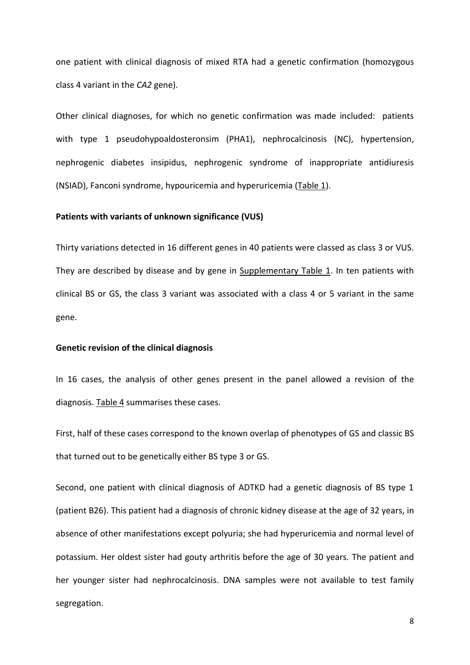one patient with clinical diagnosis of mixed RTA had a genetic confirmation (homozygous class 4 variant in the *CA2* gene).

Other clinical diagnoses, for which no genetic confirmation was made included: patients with type 1 pseudohypoaldosteronsim (PHA1), nephrocalcinosis (NC), hypertension, nephrogenic diabetes insipidus, nephrogenic syndrome of inappropriate antidiuresis (NSIAD), Fanconi syndrome, hypouricemia and hyperuricemia (Table 1).

#### **Patients with variants of unknown significance (VUS)**

Thirty variations detected in 16 different genes in 40 patients were classed as class 3 or VUS. They are described by disease and by gene in Supplementary Table 1. In ten patients with clinical BS or GS, the class 3 variant was associated with a class 4 or 5 variant in the same gene.

#### **Genetic revision of the clinical diagnosis**

In 16 cases, the analysis of other genes present in the panel allowed a revision of the diagnosis. Table 4 summarises these cases.

First, half of these cases correspond to the known overlap of phenotypes of GS and classic BS that turned out to be genetically either BS type 3 or GS.

Second, one patient with clinical diagnosis of ADTKD had a genetic diagnosis of BS type 1 (patient B26). This patient had a diagnosis of chronic kidney disease at the age of 32 years, in absence of other manifestations except polyuria; she had hyperuricemia and normal level of potassium. Her oldest sister had gouty arthritis before the age of 30 years. The patient and her younger sister had nephrocalcinosis. DNA samples were not available to test family segregation.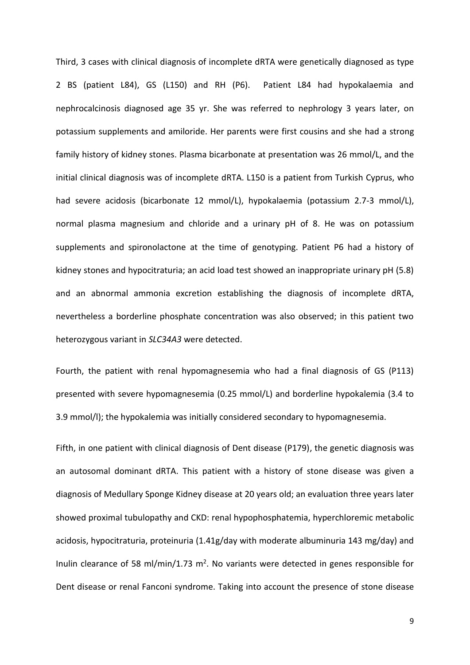Third, 3 cases with clinical diagnosis of incomplete dRTA were genetically diagnosed as type 2 BS (patient L84), GS (L150) and RH (P6). Patient L84 had hypokalaemia and nephrocalcinosis diagnosed age 35 yr. She was referred to nephrology 3 years later, on potassium supplements and amiloride. Her parents were first cousins and she had a strong family history of kidney stones. Plasma bicarbonate at presentation was 26 mmol/L, and the initial clinical diagnosis was of incomplete dRTA. L150 is a patient from Turkish Cyprus, who had severe acidosis (bicarbonate 12 mmol/L), hypokalaemia (potassium 2.7-3 mmol/L), normal plasma magnesium and chloride and a urinary pH of 8. He was on potassium supplements and spironolactone at the time of genotyping. Patient P6 had a history of kidney stones and hypocitraturia; an acid load test showed an inappropriate urinary pH (5.8) and an abnormal ammonia excretion establishing the diagnosis of incomplete dRTA, nevertheless a borderline phosphate concentration was also observed; in this patient two heterozygous variant in *SLC34A3* were detected.

Fourth, the patient with renal hypomagnesemia who had a final diagnosis of GS (P113) presented with severe hypomagnesemia (0.25 mmol/L) and borderline hypokalemia (3.4 to 3.9 mmol/l); the hypokalemia was initially considered secondary to hypomagnesemia.

Fifth, in one patient with clinical diagnosis of Dent disease (P179), the genetic diagnosis was an autosomal dominant dRTA. This patient with a history of stone disease was given a diagnosis of Medullary Sponge Kidney disease at 20 years old; an evaluation three years later showed proximal tubulopathy and CKD: renal hypophosphatemia, hyperchloremic metabolic acidosis, hypocitraturia, proteinuria (1.41g/day with moderate albuminuria 143 mg/day) and Inulin clearance of 58 ml/min/1.73  $m^2$ . No variants were detected in genes responsible for Dent disease or renal Fanconi syndrome. Taking into account the presence of stone disease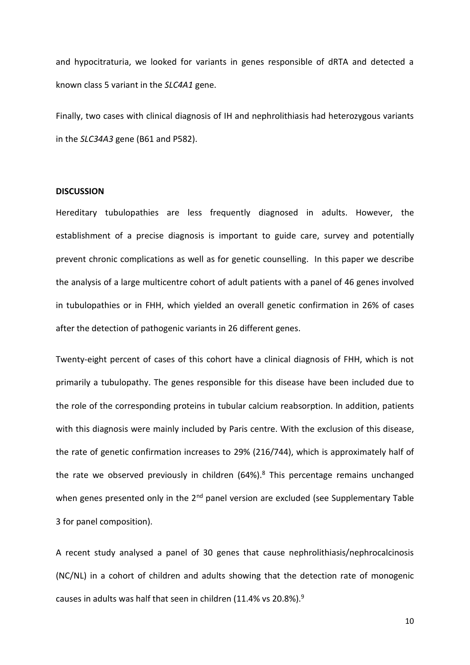and hypocitraturia, we looked for variants in genes responsible of dRTA and detected a known class 5 variant in the *SLC4A1* gene.

Finally, two cases with clinical diagnosis of IH and nephrolithiasis had heterozygous variants in the *SLC34A3* gene (B61 and P582).

### **DISCUSSION**

Hereditary tubulopathies are less frequently diagnosed in adults. However, the establishment of a precise diagnosis is important to guide care, survey and potentially prevent chronic complications as well as for genetic counselling. In this paper we describe the analysis of a large multicentre cohort of adult patients with a panel of 46 genes involved in tubulopathies or in FHH, which yielded an overall genetic confirmation in 26% of cases after the detection of pathogenic variants in 26 different genes.

Twenty-eight percent of cases of this cohort have a clinical diagnosis of FHH, which is not primarily a tubulopathy. The genes responsible for this disease have been included due to the role of the corresponding proteins in tubular calcium reabsorption. In addition, patients with this diagnosis were mainly included by Paris centre. With the exclusion of this disease, the rate of genetic confirmation increases to 29% (216/744), which is approximately half of the rate we observed previously in children (64%).<sup>8</sup> This percentage remains unchanged when genes presented only in the  $2<sup>nd</sup>$  panel version are excluded (see Supplementary Table 3 for panel composition).

A recent study analysed a panel of 30 genes that cause nephrolithiasis/nephrocalcinosis (NC/NL) in a cohort of children and adults showing that the detection rate of monogenic causes in adults was half that seen in children (11.4% vs 20.8%).<sup>9</sup>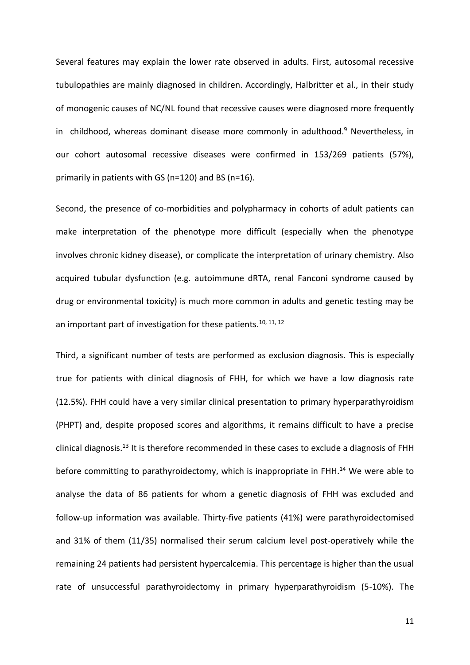Several features may explain the lower rate observed in adults. First, autosomal recessive tubulopathies are mainly diagnosed in children. Accordingly, Halbritter et al., in their study of monogenic causes of NC/NL found that recessive causes were diagnosed more frequently in childhood, whereas dominant disease more commonly in adulthood. <sup>9</sup> Nevertheless, in our cohort autosomal recessive diseases were confirmed in 153/269 patients (57%), primarily in patients with GS (n=120) and BS (n=16).

Second, the presence of co-morbidities and polypharmacy in cohorts of adult patients can make interpretation of the phenotype more difficult (especially when the phenotype involves chronic kidney disease), or complicate the interpretation of urinary chemistry. Also acquired tubular dysfunction (e.g. autoimmune dRTA, renal Fanconi syndrome caused by drug or environmental toxicity) is much more common in adults and genetic testing may be an important part of investigation for these patients.<sup>10, 11, 12</sup>

Third, a significant number of tests are performed as exclusion diagnosis. This is especially true for patients with clinical diagnosis of FHH, for which we have a low diagnosis rate (12.5%). FHH could have a very similar clinical presentation to primary hyperparathyroidism (PHPT) and, despite proposed scores and algorithms, it remains difficult to have a precise clinical diagnosis.<sup>13</sup> It is therefore recommended in these cases to exclude a diagnosis of FHH before committing to parathyroidectomy, which is inappropriate in FHH.<sup>14</sup> We were able to analyse the data of 86 patients for whom a genetic diagnosis of FHH was excluded and follow-up information was available. Thirty-five patients (41%) were parathyroidectomised and 31% of them (11/35) normalised their serum calcium level post-operatively while the remaining 24 patients had persistent hypercalcemia. This percentage is higher than the usual rate of unsuccessful parathyroidectomy in primary hyperparathyroidism (5-10%). The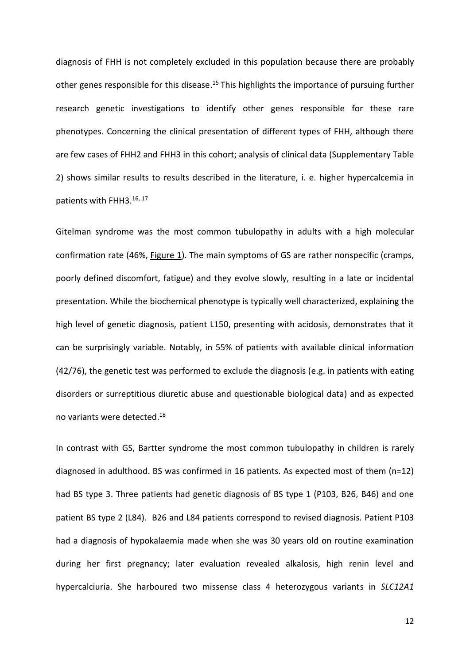diagnosis of FHH is not completely excluded in this population because there are probably other genes responsible for this disease.<sup>15</sup> This highlights the importance of pursuing further research genetic investigations to identify other genes responsible for these rare phenotypes. Concerning the clinical presentation of different types of FHH, although there are few cases of FHH2 and FHH3 in this cohort; analysis of clinical data (Supplementary Table 2) shows similar results to results described in the literature, i. e. higher hypercalcemia in patients with FHH3.<sup>16, 17</sup>

Gitelman syndrome was the most common tubulopathy in adults with a high molecular confirmation rate (46%, Figure 1). The main symptoms of GS are rather nonspecific (cramps, poorly defined discomfort, fatigue) and they evolve slowly, resulting in a late or incidental presentation. While the biochemical phenotype is typically well characterized, explaining the high level of genetic diagnosis, patient L150, presenting with acidosis, demonstrates that it can be surprisingly variable. Notably, in 55% of patients with available clinical information (42/76), the genetic test was performed to exclude the diagnosis (e.g. in patients with eating disorders or surreptitious diuretic abuse and questionable biological data) and as expected no variants were detected.<sup>18</sup>

In contrast with GS, Bartter syndrome the most common tubulopathy in children is rarely diagnosed in adulthood. BS was confirmed in 16 patients. As expected most of them (n=12) had BS type 3. Three patients had genetic diagnosis of BS type 1 (P103, B26, B46) and one patient BS type 2 (L84). B26 and L84 patients correspond to revised diagnosis. Patient P103 had a diagnosis of hypokalaemia made when she was 30 years old on routine examination during her first pregnancy; later evaluation revealed alkalosis, high renin level and hypercalciuria. She harboured two missense class 4 heterozygous variants in *SLC12A1*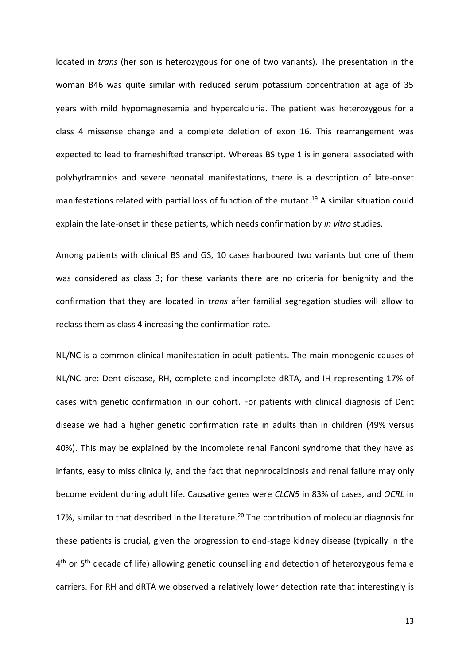located in *trans* (her son is heterozygous for one of two variants). The presentation in the woman B46 was quite similar with reduced serum potassium concentration at age of 35 years with mild hypomagnesemia and hypercalciuria. The patient was heterozygous for a class 4 missense change and a complete deletion of exon 16. This rearrangement was expected to lead to frameshifted transcript. Whereas BS type 1 is in general associated with polyhydramnios and severe neonatal manifestations, there is a description of late-onset manifestations related with partial loss of function of the mutant.<sup>19</sup> A similar situation could explain the late-onset in these patients, which needs confirmation by *in vitro* studies.

Among patients with clinical BS and GS, 10 cases harboured two variants but one of them was considered as class 3; for these variants there are no criteria for benignity and the confirmation that they are located in *trans* after familial segregation studies will allow to reclass them as class 4 increasing the confirmation rate.

NL/NC is a common clinical manifestation in adult patients. The main monogenic causes of NL/NC are: Dent disease, RH, complete and incomplete dRTA, and IH representing 17% of cases with genetic confirmation in our cohort. For patients with clinical diagnosis of Dent disease we had a higher genetic confirmation rate in adults than in children (49% versus 40%). This may be explained by the incomplete renal Fanconi syndrome that they have as infants, easy to miss clinically, and the fact that nephrocalcinosis and renal failure may only become evident during adult life. Causative genes were *CLCN5* in 83% of cases, and *OCRL* in 17%, similar to that described in the literature. <sup>20</sup> The contribution of molecular diagnosis for these patients is crucial, given the progression to end-stage kidney disease (typically in the 4<sup>th</sup> or 5<sup>th</sup> decade of life) allowing genetic counselling and detection of heterozygous female carriers. For RH and dRTA we observed a relatively lower detection rate that interestingly is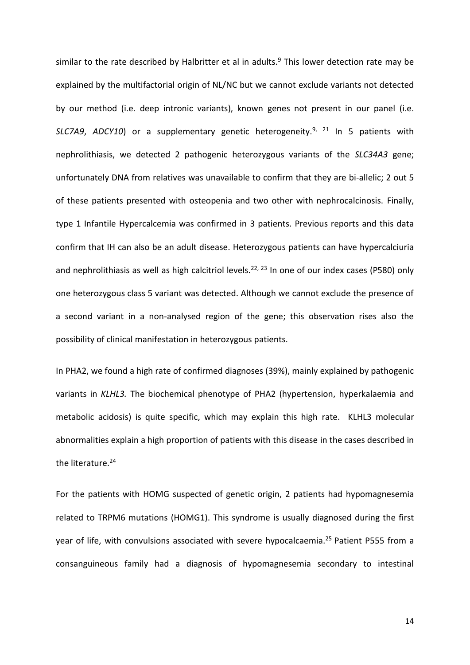similar to the rate described by Halbritter et al in adults.<sup>9</sup> This lower detection rate may be explained by the multifactorial origin of NL/NC but we cannot exclude variants not detected by our method (i.e. deep intronic variants), known genes not present in our panel (i.e. *SLC7A9*, *ADCY10*) or a supplementary genetic heterogeneity.9, <sup>21</sup> In 5 patients with nephrolithiasis, we detected 2 pathogenic heterozygous variants of the *SLC34A3* gene; unfortunately DNA from relatives was unavailable to confirm that they are bi-allelic; 2 out 5 of these patients presented with osteopenia and two other with nephrocalcinosis. Finally, type 1 Infantile Hypercalcemia was confirmed in 3 patients. Previous reports and this data confirm that IH can also be an adult disease. Heterozygous patients can have hypercalciuria and nephrolithiasis as well as high calcitriol levels.<sup>22, 23</sup> In one of our index cases (P580) only one heterozygous class 5 variant was detected. Although we cannot exclude the presence of a second variant in a non-analysed region of the gene; this observation rises also the possibility of clinical manifestation in heterozygous patients.

In PHA2, we found a high rate of confirmed diagnoses (39%), mainly explained by pathogenic variants in *KLHL3.* The biochemical phenotype of PHA2 (hypertension, hyperkalaemia and metabolic acidosis) is quite specific, which may explain this high rate. KLHL3 molecular abnormalities explain a high proportion of patients with this disease in the cases described in the literature.<sup>24</sup>

For the patients with HOMG suspected of genetic origin, 2 patients had hypomagnesemia related to TRPM6 mutations (HOMG1). This syndrome is usually diagnosed during the first year of life, with convulsions associated with severe hypocalcaemia. <sup>25</sup> Patient P555 from a consanguineous family had a diagnosis of hypomagnesemia secondary to intestinal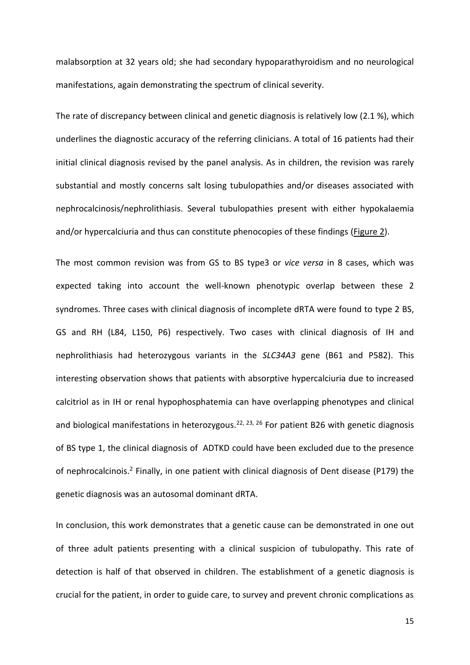malabsorption at 32 years old; she had secondary hypoparathyroidism and no neurological manifestations, again demonstrating the spectrum of clinical severity.

The rate of discrepancy between clinical and genetic diagnosis is relatively low (2.1 %), which underlines the diagnostic accuracy of the referring clinicians. A total of 16 patients had their initial clinical diagnosis revised by the panel analysis. As in children, the revision was rarely substantial and mostly concerns salt losing tubulopathies and/or diseases associated with nephrocalcinosis/nephrolithiasis. Several tubulopathies present with either hypokalaemia and/or hypercalciuria and thus can constitute phenocopies of these findings (Figure 2).

The most common revision was from GS to BS type3 or *vice versa* in 8 cases, which was expected taking into account the well-known phenotypic overlap between these 2 syndromes. Three cases with clinical diagnosis of incomplete dRTA were found to type 2 BS, GS and RH (L84, L150, P6) respectively. Two cases with clinical diagnosis of IH and nephrolithiasis had heterozygous variants in the *SLC34A3* gene (B61 and P582). This interesting observation shows that patients with absorptive hypercalciuria due to increased calcitriol as in IH or renal hypophosphatemia can have overlapping phenotypes and clinical and biological manifestations in heterozygous.<sup>22, 23, 26</sup> For patient B26 with genetic diagnosis of BS type 1, the clinical diagnosis of ADTKD could have been excluded due to the presence of nephrocalcinois.<sup>2</sup> Finally, in one patient with clinical diagnosis of Dent disease (P179) the genetic diagnosis was an autosomal dominant dRTA.

In conclusion, this work demonstrates that a genetic cause can be demonstrated in one out of three adult patients presenting with a clinical suspicion of tubulopathy. This rate of detection is half of that observed in children. The establishment of a genetic diagnosis is crucial for the patient, in order to guide care, to survey and prevent chronic complications as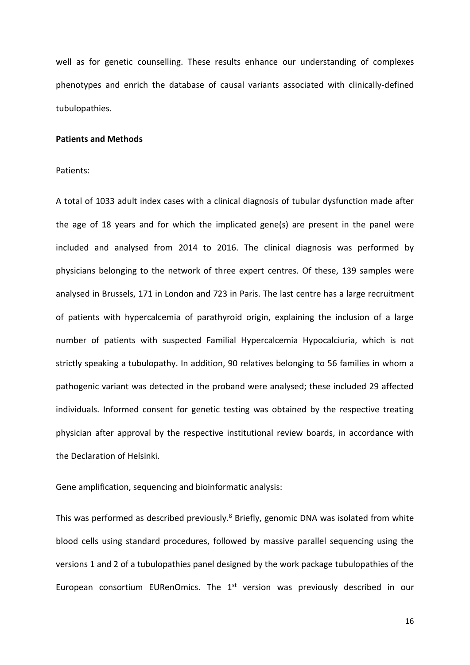well as for genetic counselling. These results enhance our understanding of complexes phenotypes and enrich the database of causal variants associated with clinically-defined tubulopathies.

#### **Patients and Methods**

Patients:

A total of 1033 adult index cases with a clinical diagnosis of tubular dysfunction made after the age of 18 years and for which the implicated gene(s) are present in the panel were included and analysed from 2014 to 2016. The clinical diagnosis was performed by physicians belonging to the network of three expert centres. Of these, 139 samples were analysed in Brussels, 171 in London and 723 in Paris. The last centre has a large recruitment of patients with hypercalcemia of parathyroid origin, explaining the inclusion of a large number of patients with suspected Familial Hypercalcemia Hypocalciuria, which is not strictly speaking a tubulopathy. In addition, 90 relatives belonging to 56 families in whom a pathogenic variant was detected in the proband were analysed; these included 29 affected individuals. Informed consent for genetic testing was obtained by the respective treating physician after approval by the respective institutional review boards, in accordance with the Declaration of Helsinki.

Gene amplification, sequencing and bioinformatic analysis:

This was performed as described previously.<sup>8</sup> Briefly, genomic DNA was isolated from white blood cells using standard procedures, followed by massive parallel sequencing using the versions 1 and 2 of a tubulopathies panel designed by the work package tubulopathies of the European consortium EURenOmics. The  $1<sup>st</sup>$  version was previously described in our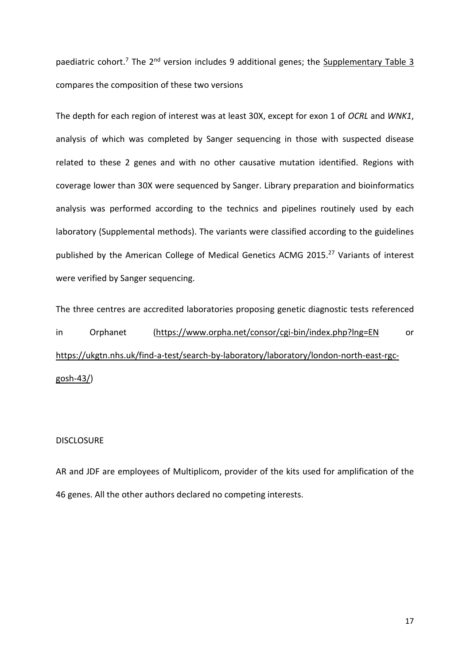paediatric cohort.<sup>7</sup> The 2<sup>nd</sup> version includes 9 additional genes; the Supplementary Table 3 compares the composition of these two versions

The depth for each region of interest was at least 30X, except for exon 1 of *OCRL* and *WNK1*, analysis of which was completed by Sanger sequencing in those with suspected disease related to these 2 genes and with no other causative mutation identified. Regions with coverage lower than 30X were sequenced by Sanger. Library preparation and bioinformatics analysis was performed according to the technics and pipelines routinely used by each laboratory (Supplemental methods). The variants were classified according to the guidelines published by the American College of Medical Genetics ACMG 2015.<sup>27</sup> Variants of interest were verified by Sanger sequencing.

The three centres are accredited laboratories proposing genetic diagnostic tests referenced in Orphanet [\(https://www.orpha.net/consor/cgi-bin/index.php?lng=EN](https://www.orpha.net/consor/cgi-bin/index.php?lng=EN) or [https://ukgtn.nhs.uk/find-a-test/search-by-laboratory/laboratory/london-north-east-rgc](https://ukgtn.nhs.uk/find-a-test/search-by-laboratory/laboratory/london-north-east-rgc-gosh-43/)[gosh-43/\)](https://ukgtn.nhs.uk/find-a-test/search-by-laboratory/laboratory/london-north-east-rgc-gosh-43/)

## **DISCLOSURE**

AR and JDF are employees of Multiplicom, provider of the kits used for amplification of the 46 genes. All the other authors declared no competing interests.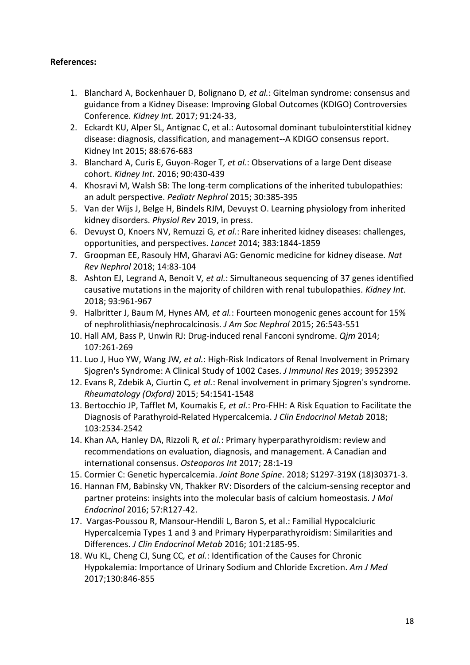# **References:**

- 1. Blanchard A, Bockenhauer D, Bolignano D*, et al.*: Gitelman syndrome: consensus and guidance from a Kidney Disease: Improving Global Outcomes (KDIGO) Controversies Conference. *Kidney Int.* 2017; 91:24-33,
- 2. Eckardt KU, Alper SL, Antignac C, et al.: Autosomal dominant tubulointerstitial kidney disease: diagnosis, classification, and management--A KDIGO consensus report. Kidney Int 2015; 88:676-683
- 3. Blanchard A, Curis E, Guyon-Roger T*, et al.*: Observations of a large Dent disease cohort. *Kidney Int*. 2016; 90:430-439
- 4. Khosravi M, Walsh SB: The long-term complications of the inherited tubulopathies: an adult perspective. *Pediatr Nephrol* 2015; 30:385-395
- 5. Van der Wijs J, Belge H, Bindels RJM, Devuyst O. Learning physiology from inherited kidney disorders. *Physiol Rev* 2019, in press.
- 6. Devuyst O, Knoers NV, Remuzzi G*, et al.*: Rare inherited kidney diseases: challenges, opportunities, and perspectives. *Lancet* 2014; 383:1844-1859
- 7. Groopman EE, Rasouly HM, Gharavi AG: Genomic medicine for kidney disease. *Nat Rev Nephrol* 2018; 14:83-104
- 8. Ashton EJ, Legrand A, Benoit V*, et al.*: Simultaneous sequencing of 37 genes identified causative mutations in the majority of children with renal tubulopathies. *Kidney Int*. 2018; 93:961-967
- 9. Halbritter J, Baum M, Hynes AM*, et al.*: Fourteen monogenic genes account for 15% of nephrolithiasis/nephrocalcinosis. *J Am Soc Nephrol* 2015; 26:543-551
- 10. Hall AM, Bass P, Unwin RJ: Drug-induced renal Fanconi syndrome. *Qjm* 2014; 107:261-269
- 11. Luo J, Huo YW, Wang JW*, et al.*: High-Risk Indicators of Renal Involvement in Primary Sjogren's Syndrome: A Clinical Study of 1002 Cases. *J Immunol Res* 2019; 3952392
- 12. Evans R, Zdebik A, Ciurtin C*, et al.*: Renal involvement in primary Sjogren's syndrome. *Rheumatology (Oxford)* 2015; 54:1541-1548
- 13. Bertocchio JP, Tafflet M, Koumakis E*, et al.*: Pro-FHH: A Risk Equation to Facilitate the Diagnosis of Parathyroid-Related Hypercalcemia. *J Clin Endocrinol Metab* 2018; 103:2534-2542
- 14. Khan AA, Hanley DA, Rizzoli R*, et al.*: Primary hyperparathyroidism: review and recommendations on evaluation, diagnosis, and management. A Canadian and international consensus. *Osteoporos Int* 2017; 28:1-19
- 15. Cormier C: Genetic hypercalcemia. *Joint Bone Spine*. 2018; S1297-319X (18)30371-3.
- 16. Hannan FM, Babinsky VN, Thakker RV: Disorders of the calcium-sensing receptor and partner proteins: insights into the molecular basis of calcium homeostasis. *J Mol Endocrinol* 2016; 57:R127-42.
- 17. Vargas-Poussou R, Mansour-Hendili L, Baron S, et al.: Familial Hypocalciuric Hypercalcemia Types 1 and 3 and Primary Hyperparathyroidism: Similarities and Differences. *J Clin Endocrinol Metab* 2016; 101:2185-95.
- 18. Wu KL, Cheng CJ, Sung CC*, et al.*: Identification of the Causes for Chronic Hypokalemia: Importance of Urinary Sodium and Chloride Excretion. *Am J Med* 2017;130:846-855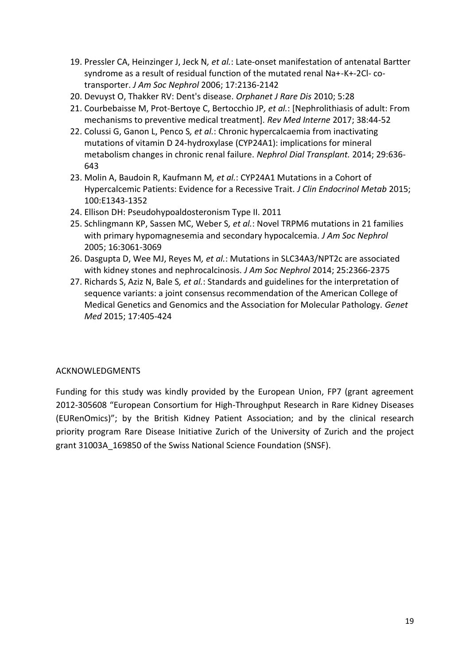- 19. Pressler CA, Heinzinger J, Jeck N*, et al.*: Late-onset manifestation of antenatal Bartter syndrome as a result of residual function of the mutated renal Na+-K+-2Cl- cotransporter. *J Am Soc Nephrol* 2006; 17:2136-2142
- 20. Devuyst O, Thakker RV: Dent's disease. *Orphanet J Rare Dis* 2010; 5:28
- 21. Courbebaisse M, Prot-Bertoye C, Bertocchio JP*, et al.*: [Nephrolithiasis of adult: From mechanisms to preventive medical treatment]. *Rev Med Interne* 2017; 38:44-52
- 22. Colussi G, Ganon L, Penco S*, et al.*: Chronic hypercalcaemia from inactivating mutations of vitamin D 24-hydroxylase (CYP24A1): implications for mineral metabolism changes in chronic renal failure. *Nephrol Dial Transplant.* 2014; 29:636- 643
- 23. Molin A, Baudoin R, Kaufmann M*, et al.*: CYP24A1 Mutations in a Cohort of Hypercalcemic Patients: Evidence for a Recessive Trait. *J Clin Endocrinol Metab* 2015; 100:E1343-1352
- 24. Ellison DH: Pseudohypoaldosteronism Type II. 2011
- 25. Schlingmann KP, Sassen MC, Weber S*, et al.*: Novel TRPM6 mutations in 21 families with primary hypomagnesemia and secondary hypocalcemia. *J Am Soc Nephrol* 2005; 16:3061-3069
- 26. Dasgupta D, Wee MJ, Reyes M*, et al.*: Mutations in SLC34A3/NPT2c are associated with kidney stones and nephrocalcinosis. *J Am Soc Nephrol* 2014; 25:2366-2375
- 27. Richards S, Aziz N, Bale S*, et al.*: Standards and guidelines for the interpretation of sequence variants: a joint consensus recommendation of the American College of Medical Genetics and Genomics and the Association for Molecular Pathology. *Genet Med* 2015; 17:405-424

## ACKNOWLEDGMENTS

Funding for this study was kindly provided by the European Union, FP7 (grant agreement 2012-305608 "European Consortium for High-Throughput Research in Rare Kidney Diseases (EURenOmics)"; by the British Kidney Patient Association; and by the clinical research priority program Rare Disease Initiative Zurich of the University of Zurich and the project grant 31003A\_169850 of the Swiss National Science Foundation (SNSF).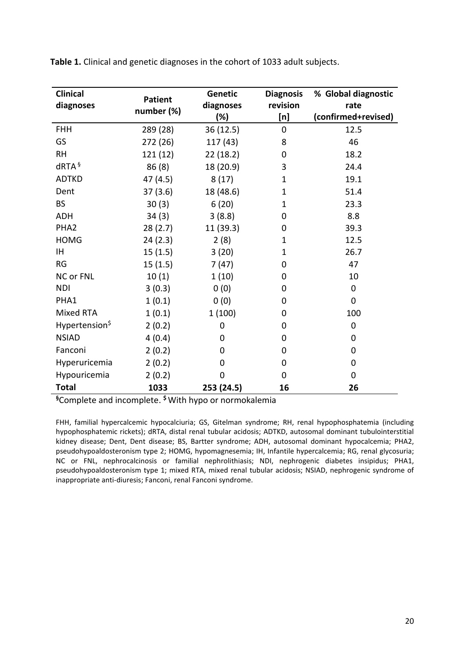| <b>Clinical</b><br>diagnoses | <b>Patient</b><br>number (%) | <b>Genetic</b><br>diagnoses<br>(%) | <b>Diagnosis</b><br>revision<br>[n] | % Global diagnostic<br>rate<br>(confirmed+revised) |
|------------------------------|------------------------------|------------------------------------|-------------------------------------|----------------------------------------------------|
| <b>FHH</b>                   | 289 (28)                     | 36(12.5)                           | 0                                   | 12.5                                               |
| GS                           | 272 (26)                     | 117 (43)                           | 8                                   | 46                                                 |
| <b>RH</b>                    | 121(12)                      | 22(18.2)                           | 0                                   | 18.2                                               |
| dRTA <sup>§</sup>            | 86(8)                        | 18 (20.9)                          | 3                                   | 24.4                                               |
| <b>ADTKD</b>                 | 47 (4.5)                     | 8(17)                              | $\mathbf{1}$                        | 19.1                                               |
| Dent                         | 37(3.6)                      | 18 (48.6)                          | 1                                   | 51.4                                               |
| <b>BS</b>                    | 30(3)                        | 6(20)                              | 1                                   | 23.3                                               |
| <b>ADH</b>                   | 34(3)                        | 3(8.8)                             | 0                                   | 8.8                                                |
| PHA <sub>2</sub>             | 28(2.7)                      | 11 (39.3)                          | 0                                   | 39.3                                               |
| <b>HOMG</b>                  | 24(2.3)                      | 2(8)                               | 1                                   | 12.5                                               |
| IH.                          | 15(1.5)                      | 3(20)                              | 1                                   | 26.7                                               |
| <b>RG</b>                    | 15(1.5)                      | 7(47)                              | 0                                   | 47                                                 |
| <b>NC or FNL</b>             | 10(1)                        | 1(10)                              | 0                                   | 10                                                 |
| <b>NDI</b>                   | 3(0.3)                       | 0(0)                               | 0                                   | 0                                                  |
| PHA1                         | 1(0.1)                       | 0(0)                               | 0                                   | $\mathbf{0}$                                       |
| Mixed RTA                    | 1(0.1)                       | 1(100)                             | 0                                   | 100                                                |
| Hypertension <sup>\$</sup>   | 2(0.2)                       | 0                                  | 0                                   | 0                                                  |
| <b>NSIAD</b>                 | 4(0.4)                       | 0                                  | 0                                   | 0                                                  |
| Fanconi                      | 2(0.2)                       | 0                                  | 0                                   | 0                                                  |
| Hyperuricemia                | 2(0.2)                       | $\Omega$                           | 0                                   | 0                                                  |
| Hypouricemia                 | 2(0.2)                       | $\overline{0}$                     | 0                                   | 0                                                  |
| <b>Total</b>                 | 1033                         | 253 (24.5)                         | 16                                  | 26                                                 |

**Table 1.** Clinical and genetic diagnoses in the cohort of 1033 adult subjects.

**§**Complete and incomplete. **\$** With hypo or normokalemia

FHH, familial hypercalcemic hypocalciuria; GS, Gitelman syndrome; RH, renal hypophosphatemia (including hypophosphatemic rickets); dRTA, distal renal tubular acidosis; ADTKD, autosomal dominant tubulointerstitial kidney disease; Dent, Dent disease; BS, Bartter syndrome; ADH, autosomal dominant hypocalcemia; PHA2, pseudohypoaldosteronism type 2; HOMG, hypomagnesemia; IH, Infantile hypercalcemia; RG, renal glycosuria; NC or FNL, nephrocalcinosis or familial nephrolithiasis; NDI, nephrogenic diabetes insipidus; PHA1, pseudohypoaldosteronism type 1; mixed RTA, mixed renal tubular acidosis; NSIAD, nephrogenic syndrome of inappropriate anti-diuresis; Fanconi, renal Fanconi syndrome.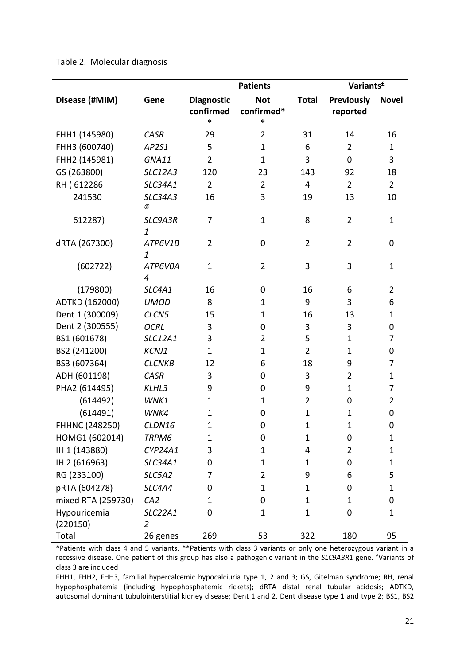|                          |                           | <b>Patients</b>   |                |                | Variants <sup>£</sup> |                |
|--------------------------|---------------------------|-------------------|----------------|----------------|-----------------------|----------------|
| Disease (#MIM)           | Gene                      | <b>Diagnostic</b> | <b>Not</b>     | <b>Total</b>   | <b>Previously</b>     | <b>Novel</b>   |
|                          |                           | confirmed         | confirmed*     |                | reported              |                |
|                          |                           | $\ast$            | *              |                |                       |                |
| FHH1 (145980)            | <b>CASR</b>               | 29                | $\overline{2}$ | 31             | 14                    | 16             |
| FHH3 (600740)            | AP2S1                     | 5                 | $\mathbf{1}$   | 6              | $\overline{2}$        | $\mathbf{1}$   |
| FHH2 (145981)            | GNA11                     | $\overline{2}$    | $\mathbf{1}$   | 3              | $\mathbf 0$           | 3              |
| GS (263800)              | SLC12A3                   | 120               | 23             | 143            | 92                    | 18             |
| RH (612286               | <b>SLC34A1</b>            | $\overline{2}$    | $\overline{2}$ | 4              | $\overline{2}$        | $\overline{2}$ |
| 241530                   | <b>SLC34A3</b><br>@       | 16                | 3              | 19             | 13                    | 10             |
| 612287)                  | SLC9A3R<br>$\mathbf{1}$   | 7                 | $\mathbf{1}$   | 8              | $\overline{2}$        | $\mathbf 1$    |
| dRTA (267300)            | ATP6V1B<br>1              | $\overline{2}$    | 0              | $\overline{2}$ | $\overline{2}$        | 0              |
| (602722)                 | ATP6V0A<br>4              | $\mathbf{1}$      | $\overline{2}$ | 3              | 3                     | $\mathbf 1$    |
| (179800)                 | SLC4A1                    | 16                | 0              | 16             | 6                     | $\overline{2}$ |
| ADTKD (162000)           | <b>UMOD</b>               | 8                 | $\mathbf 1$    | 9              | 3                     | 6              |
| Dent 1 (300009)          | CLCN5                     | 15                | $\mathbf 1$    | 16             | 13                    | 1              |
| Dent 2 (300555)          | <b>OCRL</b>               | 3                 | 0              | 3              | 3                     | 0              |
| BS1 (601678)             | <b>SLC12A1</b>            | 3                 | $\overline{2}$ | 5              | $\mathbf{1}$          | 7              |
| BS2 (241200)             | KCNJ1                     | $\mathbf{1}$      | $\mathbf{1}$   | $\overline{2}$ | $\mathbf{1}$          | 0              |
| BS3 (607364)             | <b>CLCNKB</b>             | 12                | 6              | 18             | 9                     | 7              |
| ADH (601198)             | <b>CASR</b>               | 3                 | 0              | 3              | $\overline{2}$        | $\mathbf{1}$   |
| PHA2 (614495)            | KLHL3                     | 9                 | 0              | 9              | $\mathbf{1}$          | 7              |
| (614492)                 | WNK1                      | $\mathbf{1}$      | $\mathbf 1$    | $\overline{2}$ | 0                     | $\overline{2}$ |
| (614491)                 | WNK4                      | 1                 | 0              | $\mathbf 1$    | $\mathbf 1$           | 0              |
| FHHNC (248250)           | CLDN16                    | 1                 | 0              | $\overline{1}$ | $\mathbf 1$           | 0              |
| HOMG1 (602014)           | TRPM6                     | $\mathbf 1$       | 0              | $\mathbf{1}$   | 0                     | 1              |
| IH 1 (143880)            | CYP24A1                   | 3                 | $\mathbf{1}$   | 4              | $\overline{2}$        | $\mathbf 1$    |
| IH 2 (616963)            | SLC34A1                   | 0                 | $\mathbf 1$    | $\mathbf 1$    | 0                     | 1              |
| RG (233100)              | SLC5A2                    | 7                 | $\overline{2}$ | 9              | 6                     | 5              |
| pRTA (604278)            | SLC4A4                    | 0                 | $\mathbf{1}$   | $\mathbf{1}$   | 0                     | 1              |
| mixed RTA (259730)       | CA <sub>2</sub>           | 1                 | 0              | $\mathbf{1}$   | $\mathbf 1$           | 0              |
| Hypouricemia<br>(220150) | SLC22A1<br>$\overline{2}$ | 0                 | $\mathbf{1}$   | $\mathbf 1$    | 0                     | 1              |
| Total                    | 26 genes                  | 269               | 53             | 322            | 180                   | 95             |

Table 2. Molecular diagnosis

\*Patients with class 4 and 5 variants. \*\*Patients with class 3 variants or only one heterozygous variant in a recessive disease. One patient of this group has also a pathogenic variant in the *SLC9A3R1* gene. £Variants of class 3 are included

FHH1, FHH2, FHH3, familial hypercalcemic hypocalciuria type 1, 2 and 3; GS, Gitelman syndrome; RH, renal hypophosphatemia (including hypophosphatemic rickets); dRTA distal renal tubular acidosis; ADTKD, autosomal dominant tubulointerstitial kidney disease; Dent 1 and 2, Dent disease type 1 and type 2; BS1, BS2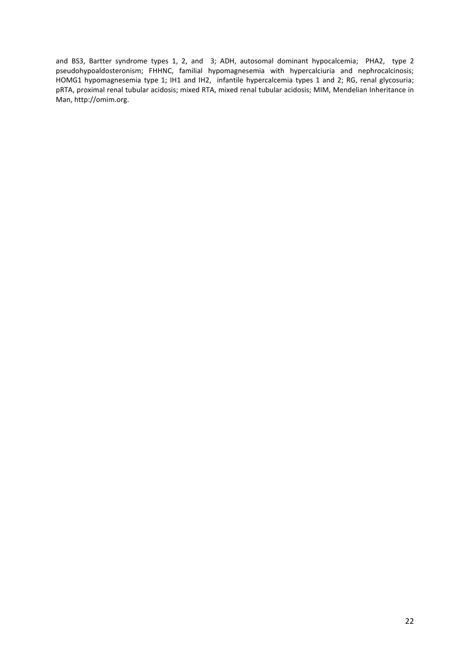and BS3, Bartter syndrome types 1, 2, and 3; ADH, autosomal dominant hypocalcemia; PHA2, type 2 pseudohypoaldosteronism; FHHNC, familial hypomagnesemia with hypercalciuria and nephrocalcinosis; HOMG1 hypomagnesemia type 1; IH1 and IH2, infantile hypercalcemia types 1 and 2; RG, renal glycosuria; pRTA, proximal renal tubular acidosis; mixed RTA, mixed renal tubular acidosis; MIM, Mendelian Inheritance in Man, http://omim.org.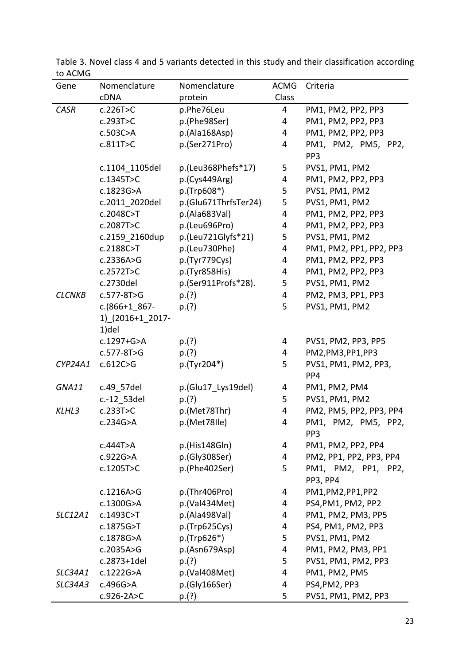| Gene          | Nomenclature     | Nomenclature         | <b>ACMG</b>    | Criteria                               |
|---------------|------------------|----------------------|----------------|----------------------------------------|
|               | cDNA             | protein              | Class          |                                        |
| CASR          | c.226T>C         | p.Phe76Leu           | 4              | PM1, PM2, PP2, PP3                     |
|               | c.293T>C         | p.(Phe98Ser)         | 4              | PM1, PM2, PP2, PP3                     |
|               | c.503C>A         | p.(Ala168Asp)        | 4              | PM1, PM2, PP2, PP3                     |
|               | c.811T>C         | p.(Ser271Pro)        | 4              | PM1, PM2, PM5, PP2,                    |
|               |                  |                      |                | PP3                                    |
|               | c.1104 1105del   | p.(Leu368Phefs*17)   | 5              | PVS1, PM1, PM2                         |
|               | c.1345T>C        | p.(Cys449Arg)        | 4              | PM1, PM2, PP2, PP3                     |
|               | c.1823G>A        | p.(Trp608*)          | 5              | PVS1, PM1, PM2                         |
|               | c.2011 2020del   | p.(Glu671ThrfsTer24) | 5              | PVS1, PM1, PM2                         |
|               | c.2048C>T        | p.(Ala683Val)        | 4              | PM1, PM2, PP2, PP3                     |
|               | c.2087T>C        | p.(Leu696Pro)        | 4              | PM1, PM2, PP2, PP3                     |
|               | c.2159 2160dup   | p.(Leu721Glyfs*21)   | 5              | PVS1, PM1, PM2                         |
|               | c.2188C>T        | p.(Leu730Phe)        | 4              | PM1, PM2, PP1, PP2, PP3                |
|               | c.2336A > G      | p.(Tyr779Cys)        | 4              | PM1, PM2, PP2, PP3                     |
|               | c.2572T>C        | p.(Tyr858His)        | 4              | PM1, PM2, PP2, PP3                     |
|               | c.2730del        | p.(Ser911Profs*28).  | 5              | PVS1, PM1, PM2                         |
| <b>CLCNKB</b> | $c.577 - 8T > G$ | p.(?)                | $\overline{4}$ | PM2, PM3, PP1, PP3                     |
|               | $c.(866+1 867-$  | p.(?)                | 5              | PVS1, PM1, PM2                         |
|               | 1) (2016+1 2017- |                      |                |                                        |
|               | 1)del            |                      |                |                                        |
|               | c.1297+G>A       | p.(?)                | 4              | PVS1, PM2, PP3, PP5                    |
|               | $c.577 - 8T > G$ | p.(?)                | 4              | PM2, PM3, PP1, PP3                     |
| CYP24A1       | c.612C>G         | p.(Tyr204*)          | 5              | PVS1, PM1, PM2, PP3,                   |
|               |                  |                      |                | PP4                                    |
| GNA11         | c.49 57del       | p.(Glu17_Lys19del)   | 4              | PM1, PM2, PM4                          |
|               | c.-12_53del      | p.(?)                | 5              | PVS1, PM1, PM2                         |
| KLHL3         | c.233T>C         | p.(Met78Thr)         | 4              | PM2, PM5, PP2, PP3, PP4                |
|               | c.234G>A         | p.(Met78lle)         | 4              | PM1, PM2, PM5, PP2,<br>PP <sub>3</sub> |
|               | c.444T>A         | p.(His148Gln)        | 4              | PM1, PM2, PP2, PP4                     |
|               | c.922G>A         | p.(Gly308Ser)        | 4              | PM2, PP1, PP2, PP3, PP4                |
|               | c.1205T>C        | p.(Phe402Ser)        | 5              | PM1, PM2, PP1, PP2,<br><b>PP3, PP4</b> |
|               | c.1216A>G        | p.(Thr406Pro)        | 4              | PM1,PM2,PP1,PP2                        |
|               | c.1300G>A        | p.(Val434Met)        | 4              | PS4, PM1, PM2, PP2                     |
| SLC12A1       | c.1493C>T        | p.(Ala498Val)        | 4              | PM1, PM2, PM3, PP5                     |
|               | c.1875G>T        | p.(Trp625Cys)        | 4              | PS4, PM1, PM2, PP3                     |
|               | c.1878G>A        | $p.(Trp626*)$        | 5              | PVS1, PM1, PM2                         |
|               | c.2035A>G        | p.(Asn679Asp)        | 4              | PM1, PM2, PM3, PP1                     |
|               | c.2873+1del      | p.(?)                | 5              | PVS1, PM1, PM2, PP3                    |
| SLC34A1       | c.1222G>A        | p.(Val408Met)        | 4              | PM1, PM2, PM5                          |
| SLC34A3       | c.496G>A         | p.(Gly166Ser)        | 4              | PS4, PM2, PP3                          |
|               | $c.926 - 2A > C$ | p.(?)                | 5              | PVS1, PM1, PM2, PP3                    |

Table 3. Novel class 4 and 5 variants detected in this study and their classification according to ACMG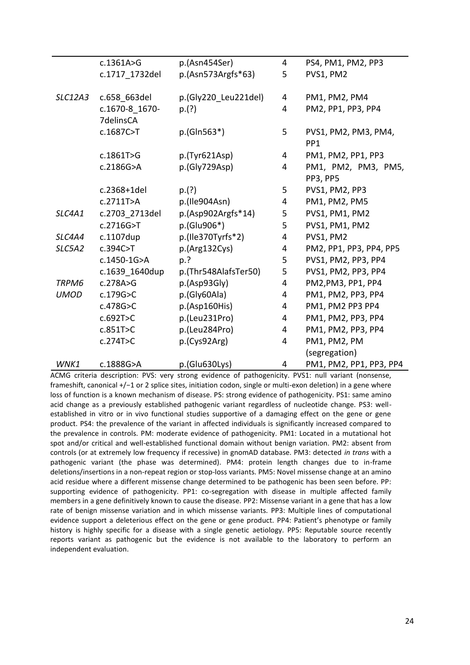|             | c.1361A>G      | p.(Asn454Ser)        | 4              | PS4, PM1, PM2, PP3      |
|-------------|----------------|----------------------|----------------|-------------------------|
|             | c.1717_1732del | $p.(Asn573Argfs*63)$ | 5              | PVS1, PM2               |
|             |                |                      |                |                         |
| SLC12A3     | c.658 663del   | p.(Gly220 Leu221del) | 4              | PM1, PM2, PM4           |
|             | c.1670-8 1670- | p.(?)                | 4              | PM2, PP1, PP3, PP4      |
|             | 7delinsCA      |                      |                |                         |
|             | c.1687C>T      | $p.(GIn563*)$        | 5              | PVS1, PM2, PM3, PM4,    |
|             |                |                      |                | PP <sub>1</sub>         |
|             | c.1861T>G      | p.(Tyr621Asp)        | 4              | PM1, PM2, PP1, PP3      |
|             | c.2186G>A      | p.(Gly729Asp)        | 4              | PM1, PM2, PM3, PM5,     |
|             |                |                      |                | PP3, PP5                |
|             | c.2368+1del    | p.(?)                | 5              | PVS1, PM2, PP3          |
|             | c.2711T>A      | p.(Ile904Asn)        | 4              | PM1, PM2, PM5           |
| SLC4A1      | c.2703 2713del | $p.(Asp902Argfs*14)$ | 5              | PVS1, PM1, PM2          |
|             | c.2716G>T      | p.(Glu906*)          | 5              | PVS1, PM1, PM2          |
| SLC4A4      | c.1107dup      | p.(Ile370Tyrfs*2)    | 4              | PVS1, PM2               |
| SLC5A2      | c.394C>T       | p.(Arg132Cys)        | 4              | PM2, PP1, PP3, PP4, PP5 |
|             | c.1450-1G>A    | p.?                  | 5              | PVS1, PM2, PP3, PP4     |
|             | c.1639 1640dup | p.(Thr548AlafsTer50) | 5              | PVS1, PM2, PP3, PP4     |
| TRPM6       | c.278A>G       | p.(Asp93Gly)         | 4              | PM2, PM3, PP1, PP4      |
| <b>UMOD</b> | c.179G > C     | p.(Gly60Ala)         | 4              | PM1, PM2, PP3, PP4      |
|             | c.478G > C     | p.(Asp160His)        | 4              | PM1, PM2 PP3 PP4        |
|             | c.692T>C       | p.(Leu231Pro)        | 4              | PM1, PM2, PP3, PP4      |
|             | c.851T>C       | p.(Leu284Pro)        | $\overline{4}$ | PM1, PM2, PP3, PP4      |
|             | c.274T>C       | p.(Cys92Arg)         | 4              | PM1, PM2, PM            |
|             |                |                      |                | (segregation)           |
| WNK1        | c.1888G>A      | p.(Glu630Lys)        | 4              | PM1, PM2, PP1, PP3, PP4 |

ACMG criteria description: PVS: very strong evidence of pathogenicity. PVS1: null variant (nonsense, frameshift, canonical +/−1 or 2 splice sites, initiation codon, single or multi-exon deletion) in a gene where loss of function is a known mechanism of disease. PS: strong evidence of pathogenicity. PS1: same amino acid change as a previously established pathogenic variant regardless of nucleotide change. PS3: wellestablished in vitro or in vivo functional studies supportive of a damaging effect on the gene or gene product. PS4: the prevalence of the variant in affected individuals is significantly increased compared to the prevalence in controls. PM: moderate evidence of pathogenicity. PM1: Located in a mutational hot spot and/or critical and well-established functional domain without benign variation. PM2: absent from controls (or at extremely low frequency if recessive) in gnomAD database. PM3: detected *in trans* with a pathogenic variant (the phase was determined). PM4: protein length changes due to in-frame deletions/insertions in a non-repeat region or stop-loss variants. PM5: Novel missense change at an amino acid residue where a different missense change determined to be pathogenic has been seen before. PP: supporting evidence of pathogenicity. PP1: co-segregation with disease in multiple affected family members in a gene definitively known to cause the disease. PP2: Missense variant in a gene that has a low rate of benign missense variation and in which missense variants. PP3: Multiple lines of computational evidence support a deleterious effect on the gene or gene product. PP4: Patient's phenotype or family history is highly specific for a disease with a single genetic aetiology. PP5: Reputable source recently reports variant as pathogenic but the evidence is not available to the laboratory to perform an independent evaluation.